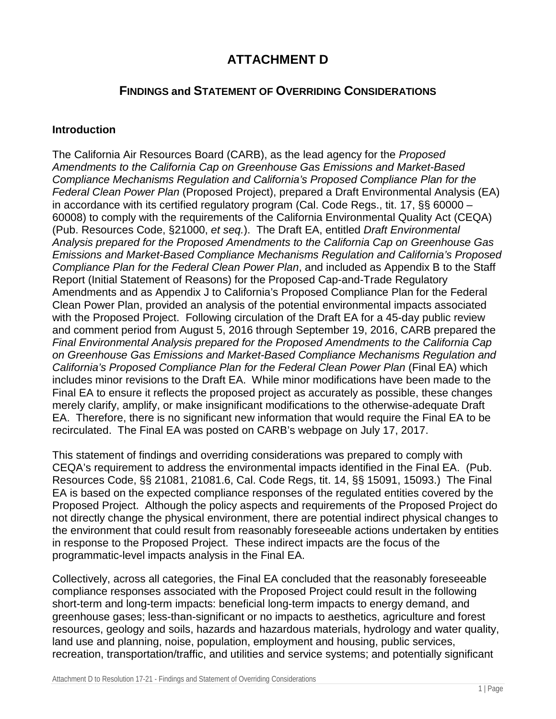# **ATTACHMENT D**

# **FINDINGS and STATEMENT OF OVERRIDING CONSIDERATIONS**

#### **Introduction**

The California Air Resources Board (CARB), as the lead agency for the *Proposed Amendments to the California Cap on Greenhouse Gas Emissions and Market-Based Compliance Mechanisms Regulation and California's Proposed Compliance Plan for the Federal Clean Power Plan* (Proposed Project), prepared a Draft Environmental Analysis (EA) in accordance with its certified regulatory program (Cal. Code Regs., tit. 17, §§ 60000 – 60008) to comply with the requirements of the California Environmental Quality Act (CEQA) (Pub. Resources Code, §21000, *et seq.*). The Draft EA, entitled *Draft Environmental Analysis prepared for the Proposed Amendments to the California Cap on Greenhouse Gas Emissions and Market-Based Compliance Mechanisms Regulation and California's Proposed Compliance Plan for the Federal Clean Power Plan*, and included as Appendix B to the Staff Report (Initial Statement of Reasons) for the Proposed Cap-and-Trade Regulatory Amendments and as Appendix J to California's Proposed Compliance Plan for the Federal Clean Power Plan, provided an analysis of the potential environmental impacts associated with the Proposed Project. Following circulation of the Draft EA for a 45-day public review and comment period from August 5, 2016 through September 19, 2016, CARB prepared the *Final Environmental Analysis prepared for the Proposed Amendments to the California Cap on Greenhouse Gas Emissions and Market-Based Compliance Mechanisms Regulation and California's Proposed Compliance Plan for the Federal Clean Power Plan* (Final EA) which includes minor revisions to the Draft EA. While minor modifications have been made to the Final EA to ensure it reflects the proposed project as accurately as possible, these changes merely clarify, amplify, or make insignificant modifications to the otherwise-adequate Draft EA. Therefore, there is no significant new information that would require the Final EA to be recirculated. The Final EA was posted on CARB's webpage on July 17, 2017.

This statement of findings and overriding considerations was prepared to comply with CEQA's requirement to address the environmental impacts identified in the Final EA. (Pub. Resources Code, §§ 21081, 21081.6, Cal. Code Regs, tit. 14, §§ 15091, 15093.) The Final EA is based on the expected compliance responses of the regulated entities covered by the Proposed Project. Although the policy aspects and requirements of the Proposed Project do not directly change the physical environment, there are potential indirect physical changes to the environment that could result from reasonably foreseeable actions undertaken by entities in response to the Proposed Project. These indirect impacts are the focus of the programmatic-level impacts analysis in the Final EA.

Collectively, across all categories, the Final EA concluded that the reasonably foreseeable compliance responses associated with the Proposed Project could result in the following short-term and long-term impacts: beneficial long-term impacts to energy demand, and greenhouse gases; less-than-significant or no impacts to aesthetics, agriculture and forest resources, geology and soils, hazards and hazardous materials, hydrology and water quality, land use and planning, noise, population, employment and housing, public services, recreation, transportation/traffic, and utilities and service systems; and potentially significant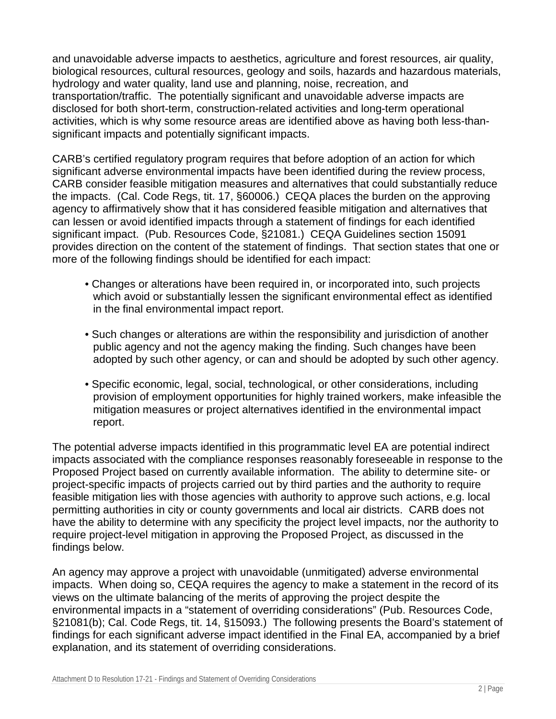and unavoidable adverse impacts to aesthetics, agriculture and forest resources, air quality, biological resources, cultural resources, geology and soils, hazards and hazardous materials, hydrology and water quality, land use and planning, noise, recreation, and transportation/traffic. The potentially significant and unavoidable adverse impacts are disclosed for both short-term, construction-related activities and long-term operational activities, which is why some resource areas are identified above as having both less-thansignificant impacts and potentially significant impacts.

CARB's certified regulatory program requires that before adoption of an action for which significant adverse environmental impacts have been identified during the review process, CARB consider feasible mitigation measures and alternatives that could substantially reduce the impacts. (Cal. Code Regs, tit. 17, §60006.) CEQA places the burden on the approving agency to affirmatively show that it has considered feasible mitigation and alternatives that can lessen or avoid identified impacts through a statement of findings for each identified significant impact. (Pub. Resources Code, §21081.) CEQA Guidelines section 15091 provides direction on the content of the statement of findings. That section states that one or more of the following findings should be identified for each impact:

- Changes or alterations have been required in, or incorporated into, such projects which avoid or substantially lessen the significant environmental effect as identified in the final environmental impact report.
- Such changes or alterations are within the responsibility and jurisdiction of another public agency and not the agency making the finding. Such changes have been adopted by such other agency, or can and should be adopted by such other agency.
- Specific economic, legal, social, technological, or other considerations, including provision of employment opportunities for highly trained workers, make infeasible the mitigation measures or project alternatives identified in the environmental impact report.

The potential adverse impacts identified in this programmatic level EA are potential indirect impacts associated with the compliance responses reasonably foreseeable in response to the Proposed Project based on currently available information. The ability to determine site- or project-specific impacts of projects carried out by third parties and the authority to require feasible mitigation lies with those agencies with authority to approve such actions, e.g. local permitting authorities in city or county governments and local air districts. CARB does not have the ability to determine with any specificity the project level impacts, nor the authority to require project-level mitigation in approving the Proposed Project, as discussed in the findings below.

An agency may approve a project with unavoidable (unmitigated) adverse environmental impacts. When doing so, CEQA requires the agency to make a statement in the record of its views on the ultimate balancing of the merits of approving the project despite the environmental impacts in a "statement of overriding considerations" (Pub. Resources Code, §21081(b); Cal. Code Regs, tit. 14, §15093.) The following presents the Board's statement of findings for each significant adverse impact identified in the Final EA, accompanied by a brief explanation, and its statement of overriding considerations.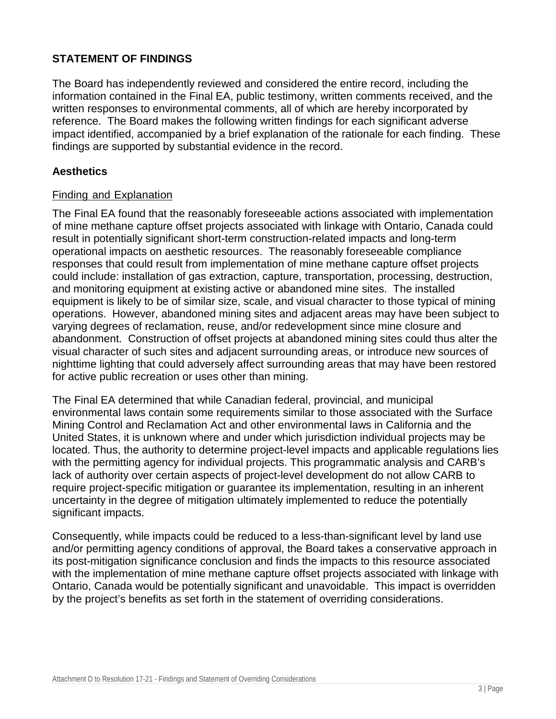# **STATEMENT OF FINDINGS**

The Board has independently reviewed and considered the entire record, including the information contained in the Final EA, public testimony, written comments received, and the written responses to environmental comments, all of which are hereby incorporated by reference. The Board makes the following written findings for each significant adverse impact identified, accompanied by a brief explanation of the rationale for each finding. These findings are supported by substantial evidence in the record.

#### **Aesthetics**

#### Finding and Explanation

The Final EA found that the reasonably foreseeable actions associated with implementation of mine methane capture offset projects associated with linkage with Ontario, Canada could result in potentially significant short-term construction-related impacts and long-term operational impacts on aesthetic resources. The reasonably foreseeable compliance responses that could result from implementation of mine methane capture offset projects could include: installation of gas extraction, capture, transportation, processing, destruction, and monitoring equipment at existing active or abandoned mine sites. The installed equipment is likely to be of similar size, scale, and visual character to those typical of mining operations. However, abandoned mining sites and adjacent areas may have been subject to varying degrees of reclamation, reuse, and/or redevelopment since mine closure and abandonment. Construction of offset projects at abandoned mining sites could thus alter the visual character of such sites and adjacent surrounding areas, or introduce new sources of nighttime lighting that could adversely affect surrounding areas that may have been restored for active public recreation or uses other than mining.

The Final EA determined that while Canadian federal, provincial, and municipal environmental laws contain some requirements similar to those associated with the Surface Mining Control and Reclamation Act and other environmental laws in California and the United States, it is unknown where and under which jurisdiction individual projects may be located. Thus, the authority to determine project-level impacts and applicable regulations lies with the permitting agency for individual projects. This programmatic analysis and CARB's lack of authority over certain aspects of project-level development do not allow CARB to require project-specific mitigation or guarantee its implementation, resulting in an inherent uncertainty in the degree of mitigation ultimately implemented to reduce the potentially significant impacts.

Consequently, while impacts could be reduced to a less-than-significant level by land use and/or permitting agency conditions of approval, the Board takes a conservative approach in its post-mitigation significance conclusion and finds the impacts to this resource associated with the implementation of mine methane capture offset projects associated with linkage with Ontario, Canada would be potentially significant and unavoidable. This impact is overridden by the project's benefits as set forth in the statement of overriding considerations.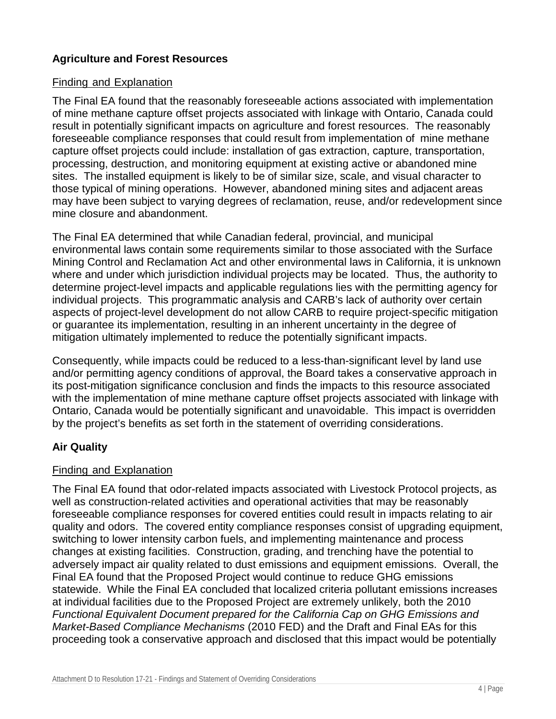# **Agriculture and Forest Resources**

### Finding and Explanation

The Final EA found that the reasonably foreseeable actions associated with implementation of mine methane capture offset projects associated with linkage with Ontario, Canada could result in potentially significant impacts on agriculture and forest resources. The reasonably foreseeable compliance responses that could result from implementation of mine methane capture offset projects could include: installation of gas extraction, capture, transportation, processing, destruction, and monitoring equipment at existing active or abandoned mine sites. The installed equipment is likely to be of similar size, scale, and visual character to those typical of mining operations. However, abandoned mining sites and adjacent areas may have been subject to varying degrees of reclamation, reuse, and/or redevelopment since mine closure and abandonment.

The Final EA determined that while Canadian federal, provincial, and municipal environmental laws contain some requirements similar to those associated with the Surface Mining Control and Reclamation Act and other environmental laws in California, it is unknown where and under which jurisdiction individual projects may be located. Thus, the authority to determine project-level impacts and applicable regulations lies with the permitting agency for individual projects. This programmatic analysis and CARB's lack of authority over certain aspects of project-level development do not allow CARB to require project-specific mitigation or guarantee its implementation, resulting in an inherent uncertainty in the degree of mitigation ultimately implemented to reduce the potentially significant impacts.

Consequently, while impacts could be reduced to a less-than-significant level by land use and/or permitting agency conditions of approval, the Board takes a conservative approach in its post-mitigation significance conclusion and finds the impacts to this resource associated with the implementation of mine methane capture offset projects associated with linkage with Ontario, Canada would be potentially significant and unavoidable. This impact is overridden by the project's benefits as set forth in the statement of overriding considerations.

# **Air Quality**

# Finding and Explanation

The Final EA found that odor-related impacts associated with Livestock Protocol projects, as well as construction-related activities and operational activities that may be reasonably foreseeable compliance responses for covered entities could result in impacts relating to air quality and odors. The covered entity compliance responses consist of upgrading equipment, switching to lower intensity carbon fuels, and implementing maintenance and process changes at existing facilities. Construction, grading, and trenching have the potential to adversely impact air quality related to dust emissions and equipment emissions. Overall, the Final EA found that the Proposed Project would continue to reduce GHG emissions statewide. While the Final EA concluded that localized criteria pollutant emissions increases at individual facilities due to the Proposed Project are extremely unlikely, both the 2010 *Functional Equivalent Document prepared for the California Cap on GHG Emissions and Market-Based Compliance Mechanisms* (2010 FED) and the Draft and Final EAs for this proceeding took a conservative approach and disclosed that this impact would be potentially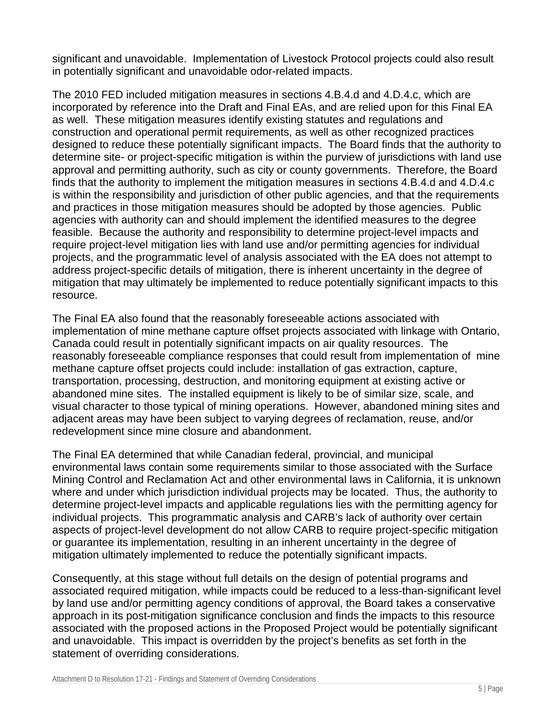significant and unavoidable. Implementation of Livestock Protocol projects could also result in potentially significant and unavoidable odor-related impacts.

The 2010 FED included mitigation measures in sections 4.B.4.d and 4.D.4.c, which are incorporated by reference into the Draft and Final EAs, and are relied upon for this Final EA as well. These mitigation measures identify existing statutes and regulations and construction and operational permit requirements, as well as other recognized practices designed to reduce these potentially significant impacts. The Board finds that the authority to determine site- or project-specific mitigation is within the purview of jurisdictions with land use approval and permitting authority, such as city or county governments. Therefore, the Board finds that the authority to implement the mitigation measures in sections 4.B.4.d and 4.D.4.c is within the responsibility and jurisdiction of other public agencies, and that the requirements and practices in those mitigation measures should be adopted by those agencies. Public agencies with authority can and should implement the identified measures to the degree feasible. Because the authority and responsibility to determine project-level impacts and require project-level mitigation lies with land use and/or permitting agencies for individual projects, and the programmatic level of analysis associated with the EA does not attempt to address project-specific details of mitigation, there is inherent uncertainty in the degree of mitigation that may ultimately be implemented to reduce potentially significant impacts to this resource.

The Final EA also found that the reasonably foreseeable actions associated with implementation of mine methane capture offset projects associated with linkage with Ontario, Canada could result in potentially significant impacts on air quality resources. The reasonably foreseeable compliance responses that could result from implementation of mine methane capture offset projects could include: installation of gas extraction, capture, transportation, processing, destruction, and monitoring equipment at existing active or abandoned mine sites. The installed equipment is likely to be of similar size, scale, and visual character to those typical of mining operations. However, abandoned mining sites and adjacent areas may have been subject to varying degrees of reclamation, reuse, and/or redevelopment since mine closure and abandonment.

The Final EA determined that while Canadian federal, provincial, and municipal environmental laws contain some requirements similar to those associated with the Surface Mining Control and Reclamation Act and other environmental laws in California, it is unknown where and under which jurisdiction individual projects may be located. Thus, the authority to determine project-level impacts and applicable regulations lies with the permitting agency for individual projects. This programmatic analysis and CARB's lack of authority over certain aspects of project-level development do not allow CARB to require project-specific mitigation or guarantee its implementation, resulting in an inherent uncertainty in the degree of mitigation ultimately implemented to reduce the potentially significant impacts.

Consequently, at this stage without full details on the design of potential programs and associated required mitigation, while impacts could be reduced to a less-than-significant level by land use and/or permitting agency conditions of approval, the Board takes a conservative approach in its post-mitigation significance conclusion and finds the impacts to this resource associated with the proposed actions in the Proposed Project would be potentially significant and unavoidable. This impact is overridden by the project's benefits as set forth in the statement of overriding considerations.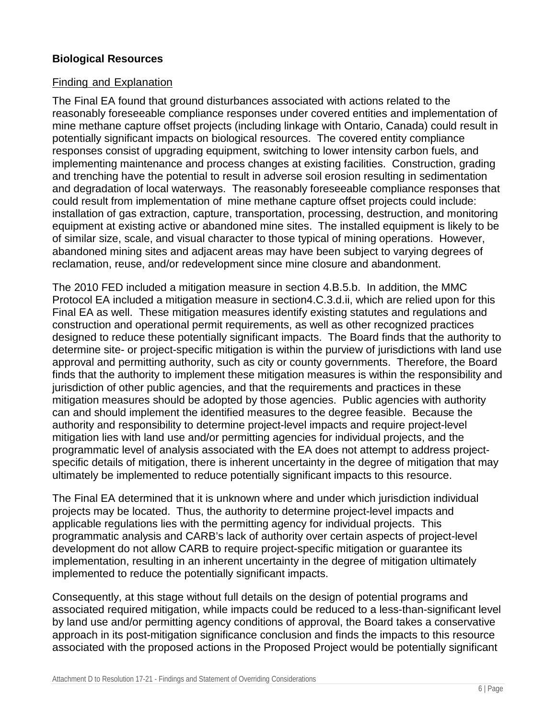### **Biological Resources**

#### Finding and Explanation

The Final EA found that ground disturbances associated with actions related to the reasonably foreseeable compliance responses under covered entities and implementation of mine methane capture offset projects (including linkage with Ontario, Canada) could result in potentially significant impacts on biological resources. The covered entity compliance responses consist of upgrading equipment, switching to lower intensity carbon fuels, and implementing maintenance and process changes at existing facilities. Construction, grading and trenching have the potential to result in adverse soil erosion resulting in sedimentation and degradation of local waterways. The reasonably foreseeable compliance responses that could result from implementation of mine methane capture offset projects could include: installation of gas extraction, capture, transportation, processing, destruction, and monitoring equipment at existing active or abandoned mine sites. The installed equipment is likely to be of similar size, scale, and visual character to those typical of mining operations. However, abandoned mining sites and adjacent areas may have been subject to varying degrees of reclamation, reuse, and/or redevelopment since mine closure and abandonment.

The 2010 FED included a mitigation measure in section 4.B.5.b. In addition, the MMC Protocol EA included a mitigation measure in section4.C.3.d.ii, which are relied upon for this Final EA as well. These mitigation measures identify existing statutes and regulations and construction and operational permit requirements, as well as other recognized practices designed to reduce these potentially significant impacts. The Board finds that the authority to determine site- or project-specific mitigation is within the purview of jurisdictions with land use approval and permitting authority, such as city or county governments. Therefore, the Board finds that the authority to implement these mitigation measures is within the responsibility and jurisdiction of other public agencies, and that the requirements and practices in these mitigation measures should be adopted by those agencies. Public agencies with authority can and should implement the identified measures to the degree feasible. Because the authority and responsibility to determine project-level impacts and require project-level mitigation lies with land use and/or permitting agencies for individual projects, and the programmatic level of analysis associated with the EA does not attempt to address projectspecific details of mitigation, there is inherent uncertainty in the degree of mitigation that may ultimately be implemented to reduce potentially significant impacts to this resource.

The Final EA determined that it is unknown where and under which jurisdiction individual projects may be located. Thus, the authority to determine project-level impacts and applicable regulations lies with the permitting agency for individual projects. This programmatic analysis and CARB's lack of authority over certain aspects of project-level development do not allow CARB to require project-specific mitigation or guarantee its implementation, resulting in an inherent uncertainty in the degree of mitigation ultimately implemented to reduce the potentially significant impacts.

Consequently, at this stage without full details on the design of potential programs and associated required mitigation, while impacts could be reduced to a less-than-significant level by land use and/or permitting agency conditions of approval, the Board takes a conservative approach in its post-mitigation significance conclusion and finds the impacts to this resource associated with the proposed actions in the Proposed Project would be potentially significant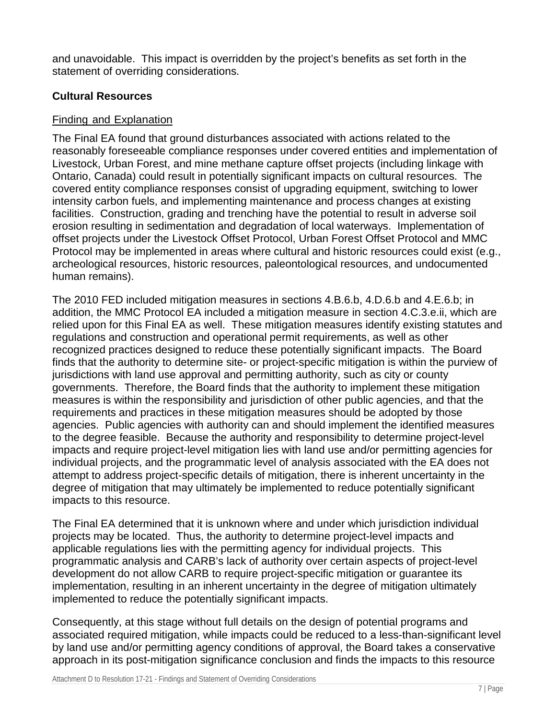and unavoidable. This impact is overridden by the project's benefits as set forth in the statement of overriding considerations.

### **Cultural Resources**

#### Finding and Explanation

The Final EA found that ground disturbances associated with actions related to the reasonably foreseeable compliance responses under covered entities and implementation of Livestock, Urban Forest, and mine methane capture offset projects (including linkage with Ontario, Canada) could result in potentially significant impacts on cultural resources. The covered entity compliance responses consist of upgrading equipment, switching to lower intensity carbon fuels, and implementing maintenance and process changes at existing facilities. Construction, grading and trenching have the potential to result in adverse soil erosion resulting in sedimentation and degradation of local waterways. Implementation of offset projects under the Livestock Offset Protocol, Urban Forest Offset Protocol and MMC Protocol may be implemented in areas where cultural and historic resources could exist (e.g., archeological resources, historic resources, paleontological resources, and undocumented human remains).

The 2010 FED included mitigation measures in sections 4.B.6.b, 4.D.6.b and 4.E.6.b; in addition, the MMC Protocol EA included a mitigation measure in section 4.C.3.e.ii, which are relied upon for this Final EA as well. These mitigation measures identify existing statutes and regulations and construction and operational permit requirements, as well as other recognized practices designed to reduce these potentially significant impacts. The Board finds that the authority to determine site- or project-specific mitigation is within the purview of jurisdictions with land use approval and permitting authority, such as city or county governments. Therefore, the Board finds that the authority to implement these mitigation measures is within the responsibility and jurisdiction of other public agencies, and that the requirements and practices in these mitigation measures should be adopted by those agencies. Public agencies with authority can and should implement the identified measures to the degree feasible. Because the authority and responsibility to determine project-level impacts and require project-level mitigation lies with land use and/or permitting agencies for individual projects, and the programmatic level of analysis associated with the EA does not attempt to address project-specific details of mitigation, there is inherent uncertainty in the degree of mitigation that may ultimately be implemented to reduce potentially significant impacts to this resource.

The Final EA determined that it is unknown where and under which jurisdiction individual projects may be located. Thus, the authority to determine project-level impacts and applicable regulations lies with the permitting agency for individual projects. This programmatic analysis and CARB's lack of authority over certain aspects of project-level development do not allow CARB to require project-specific mitigation or guarantee its implementation, resulting in an inherent uncertainty in the degree of mitigation ultimately implemented to reduce the potentially significant impacts.

Consequently, at this stage without full details on the design of potential programs and associated required mitigation, while impacts could be reduced to a less-than-significant level by land use and/or permitting agency conditions of approval, the Board takes a conservative approach in its post-mitigation significance conclusion and finds the impacts to this resource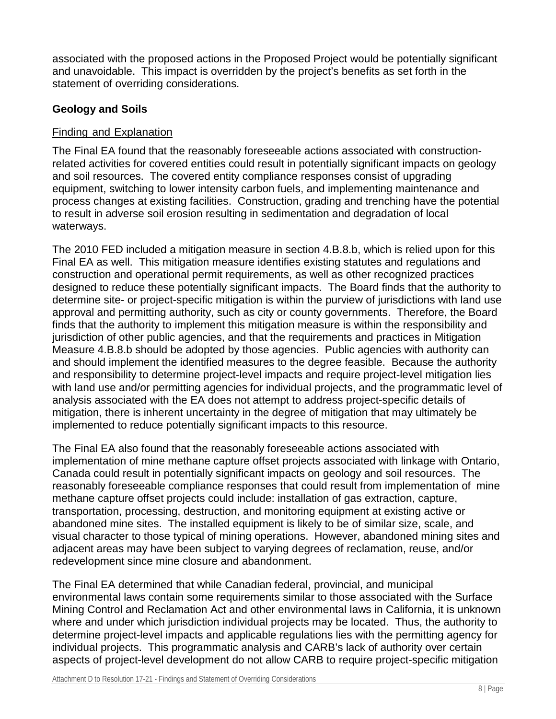associated with the proposed actions in the Proposed Project would be potentially significant and unavoidable. This impact is overridden by the project's benefits as set forth in the statement of overriding considerations.

# **Geology and Soils**

### Finding and Explanation

The Final EA found that the reasonably foreseeable actions associated with constructionrelated activities for covered entities could result in potentially significant impacts on geology and soil resources. The covered entity compliance responses consist of upgrading equipment, switching to lower intensity carbon fuels, and implementing maintenance and process changes at existing facilities. Construction, grading and trenching have the potential to result in adverse soil erosion resulting in sedimentation and degradation of local waterways.

The 2010 FED included a mitigation measure in section 4.B.8.b, which is relied upon for this Final EA as well. This mitigation measure identifies existing statutes and regulations and construction and operational permit requirements, as well as other recognized practices designed to reduce these potentially significant impacts. The Board finds that the authority to determine site- or project-specific mitigation is within the purview of jurisdictions with land use approval and permitting authority, such as city or county governments. Therefore, the Board finds that the authority to implement this mitigation measure is within the responsibility and jurisdiction of other public agencies, and that the requirements and practices in Mitigation Measure 4.B.8.b should be adopted by those agencies. Public agencies with authority can and should implement the identified measures to the degree feasible. Because the authority and responsibility to determine project-level impacts and require project-level mitigation lies with land use and/or permitting agencies for individual projects, and the programmatic level of analysis associated with the EA does not attempt to address project-specific details of mitigation, there is inherent uncertainty in the degree of mitigation that may ultimately be implemented to reduce potentially significant impacts to this resource.

The Final EA also found that the reasonably foreseeable actions associated with implementation of mine methane capture offset projects associated with linkage with Ontario, Canada could result in potentially significant impacts on geology and soil resources. The reasonably foreseeable compliance responses that could result from implementation of mine methane capture offset projects could include: installation of gas extraction, capture, transportation, processing, destruction, and monitoring equipment at existing active or abandoned mine sites. The installed equipment is likely to be of similar size, scale, and visual character to those typical of mining operations. However, abandoned mining sites and adjacent areas may have been subject to varying degrees of reclamation, reuse, and/or redevelopment since mine closure and abandonment.

The Final EA determined that while Canadian federal, provincial, and municipal environmental laws contain some requirements similar to those associated with the Surface Mining Control and Reclamation Act and other environmental laws in California, it is unknown where and under which jurisdiction individual projects may be located. Thus, the authority to determine project-level impacts and applicable regulations lies with the permitting agency for individual projects. This programmatic analysis and CARB's lack of authority over certain aspects of project-level development do not allow CARB to require project-specific mitigation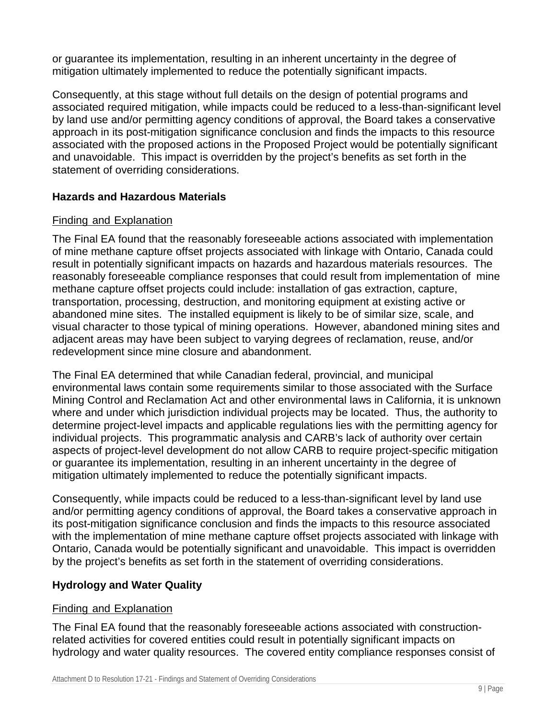or guarantee its implementation, resulting in an inherent uncertainty in the degree of mitigation ultimately implemented to reduce the potentially significant impacts.

Consequently, at this stage without full details on the design of potential programs and associated required mitigation, while impacts could be reduced to a less-than-significant level by land use and/or permitting agency conditions of approval, the Board takes a conservative approach in its post-mitigation significance conclusion and finds the impacts to this resource associated with the proposed actions in the Proposed Project would be potentially significant and unavoidable. This impact is overridden by the project's benefits as set forth in the statement of overriding considerations.

# **Hazards and Hazardous Materials**

### Finding and Explanation

The Final EA found that the reasonably foreseeable actions associated with implementation of mine methane capture offset projects associated with linkage with Ontario, Canada could result in potentially significant impacts on hazards and hazardous materials resources. The reasonably foreseeable compliance responses that could result from implementation of mine methane capture offset projects could include: installation of gas extraction, capture, transportation, processing, destruction, and monitoring equipment at existing active or abandoned mine sites. The installed equipment is likely to be of similar size, scale, and visual character to those typical of mining operations. However, abandoned mining sites and adjacent areas may have been subject to varying degrees of reclamation, reuse, and/or redevelopment since mine closure and abandonment.

The Final EA determined that while Canadian federal, provincial, and municipal environmental laws contain some requirements similar to those associated with the Surface Mining Control and Reclamation Act and other environmental laws in California, it is unknown where and under which jurisdiction individual projects may be located. Thus, the authority to determine project-level impacts and applicable regulations lies with the permitting agency for individual projects. This programmatic analysis and CARB's lack of authority over certain aspects of project-level development do not allow CARB to require project-specific mitigation or guarantee its implementation, resulting in an inherent uncertainty in the degree of mitigation ultimately implemented to reduce the potentially significant impacts.

Consequently, while impacts could be reduced to a less-than-significant level by land use and/or permitting agency conditions of approval, the Board takes a conservative approach in its post-mitigation significance conclusion and finds the impacts to this resource associated with the implementation of mine methane capture offset projects associated with linkage with Ontario, Canada would be potentially significant and unavoidable. This impact is overridden by the project's benefits as set forth in the statement of overriding considerations.

# **Hydrology and Water Quality**

#### Finding and Explanation

The Final EA found that the reasonably foreseeable actions associated with constructionrelated activities for covered entities could result in potentially significant impacts on hydrology and water quality resources. The covered entity compliance responses consist of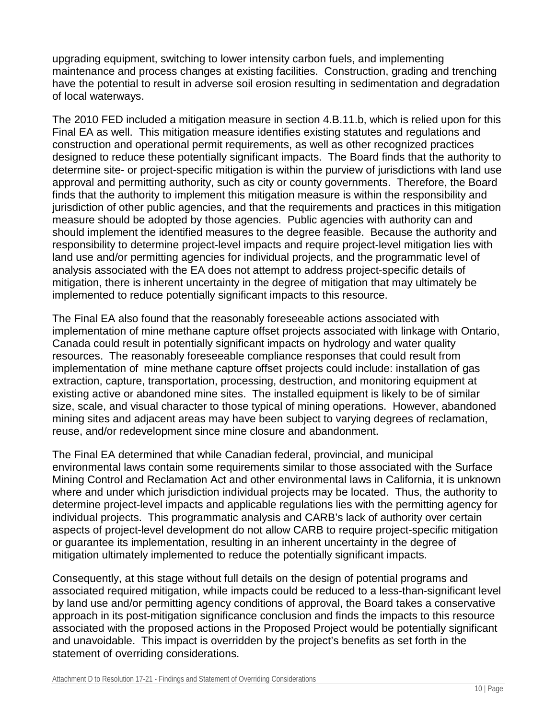upgrading equipment, switching to lower intensity carbon fuels, and implementing maintenance and process changes at existing facilities. Construction, grading and trenching have the potential to result in adverse soil erosion resulting in sedimentation and degradation of local waterways.

The 2010 FED included a mitigation measure in section 4.B.11.b, which is relied upon for this Final EA as well. This mitigation measure identifies existing statutes and regulations and construction and operational permit requirements, as well as other recognized practices designed to reduce these potentially significant impacts. The Board finds that the authority to determine site- or project-specific mitigation is within the purview of jurisdictions with land use approval and permitting authority, such as city or county governments. Therefore, the Board finds that the authority to implement this mitigation measure is within the responsibility and jurisdiction of other public agencies, and that the requirements and practices in this mitigation measure should be adopted by those agencies. Public agencies with authority can and should implement the identified measures to the degree feasible. Because the authority and responsibility to determine project-level impacts and require project-level mitigation lies with land use and/or permitting agencies for individual projects, and the programmatic level of analysis associated with the EA does not attempt to address project-specific details of mitigation, there is inherent uncertainty in the degree of mitigation that may ultimately be implemented to reduce potentially significant impacts to this resource.

The Final EA also found that the reasonably foreseeable actions associated with implementation of mine methane capture offset projects associated with linkage with Ontario, Canada could result in potentially significant impacts on hydrology and water quality resources. The reasonably foreseeable compliance responses that could result from implementation of mine methane capture offset projects could include: installation of gas extraction, capture, transportation, processing, destruction, and monitoring equipment at existing active or abandoned mine sites. The installed equipment is likely to be of similar size, scale, and visual character to those typical of mining operations. However, abandoned mining sites and adjacent areas may have been subject to varying degrees of reclamation, reuse, and/or redevelopment since mine closure and abandonment.

The Final EA determined that while Canadian federal, provincial, and municipal environmental laws contain some requirements similar to those associated with the Surface Mining Control and Reclamation Act and other environmental laws in California, it is unknown where and under which jurisdiction individual projects may be located. Thus, the authority to determine project-level impacts and applicable regulations lies with the permitting agency for individual projects. This programmatic analysis and CARB's lack of authority over certain aspects of project-level development do not allow CARB to require project-specific mitigation or guarantee its implementation, resulting in an inherent uncertainty in the degree of mitigation ultimately implemented to reduce the potentially significant impacts.

Consequently, at this stage without full details on the design of potential programs and associated required mitigation, while impacts could be reduced to a less-than-significant level by land use and/or permitting agency conditions of approval, the Board takes a conservative approach in its post-mitigation significance conclusion and finds the impacts to this resource associated with the proposed actions in the Proposed Project would be potentially significant and unavoidable. This impact is overridden by the project's benefits as set forth in the statement of overriding considerations.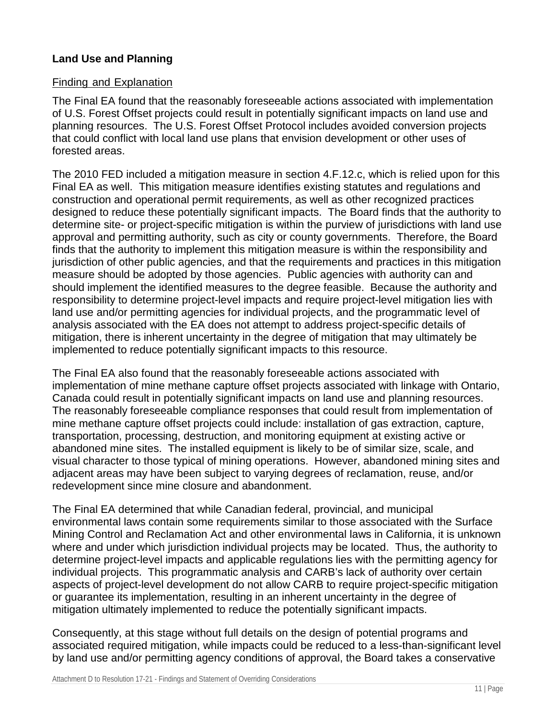# **Land Use and Planning**

### Finding and Explanation

The Final EA found that the reasonably foreseeable actions associated with implementation of U.S. Forest Offset projects could result in potentially significant impacts on land use and planning resources. The U.S. Forest Offset Protocol includes avoided conversion projects that could conflict with local land use plans that envision development or other uses of forested areas.

The 2010 FED included a mitigation measure in section 4.F.12.c, which is relied upon for this Final EA as well. This mitigation measure identifies existing statutes and regulations and construction and operational permit requirements, as well as other recognized practices designed to reduce these potentially significant impacts. The Board finds that the authority to determine site- or project-specific mitigation is within the purview of jurisdictions with land use approval and permitting authority, such as city or county governments. Therefore, the Board finds that the authority to implement this mitigation measure is within the responsibility and jurisdiction of other public agencies, and that the requirements and practices in this mitigation measure should be adopted by those agencies. Public agencies with authority can and should implement the identified measures to the degree feasible. Because the authority and responsibility to determine project-level impacts and require project-level mitigation lies with land use and/or permitting agencies for individual projects, and the programmatic level of analysis associated with the EA does not attempt to address project-specific details of mitigation, there is inherent uncertainty in the degree of mitigation that may ultimately be implemented to reduce potentially significant impacts to this resource.

The Final EA also found that the reasonably foreseeable actions associated with implementation of mine methane capture offset projects associated with linkage with Ontario, Canada could result in potentially significant impacts on land use and planning resources. The reasonably foreseeable compliance responses that could result from implementation of mine methane capture offset projects could include: installation of gas extraction, capture, transportation, processing, destruction, and monitoring equipment at existing active or abandoned mine sites. The installed equipment is likely to be of similar size, scale, and visual character to those typical of mining operations. However, abandoned mining sites and adjacent areas may have been subject to varying degrees of reclamation, reuse, and/or redevelopment since mine closure and abandonment.

The Final EA determined that while Canadian federal, provincial, and municipal environmental laws contain some requirements similar to those associated with the Surface Mining Control and Reclamation Act and other environmental laws in California, it is unknown where and under which jurisdiction individual projects may be located. Thus, the authority to determine project-level impacts and applicable regulations lies with the permitting agency for individual projects. This programmatic analysis and CARB's lack of authority over certain aspects of project-level development do not allow CARB to require project-specific mitigation or guarantee its implementation, resulting in an inherent uncertainty in the degree of mitigation ultimately implemented to reduce the potentially significant impacts.

Consequently, at this stage without full details on the design of potential programs and associated required mitigation, while impacts could be reduced to a less-than-significant level by land use and/or permitting agency conditions of approval, the Board takes a conservative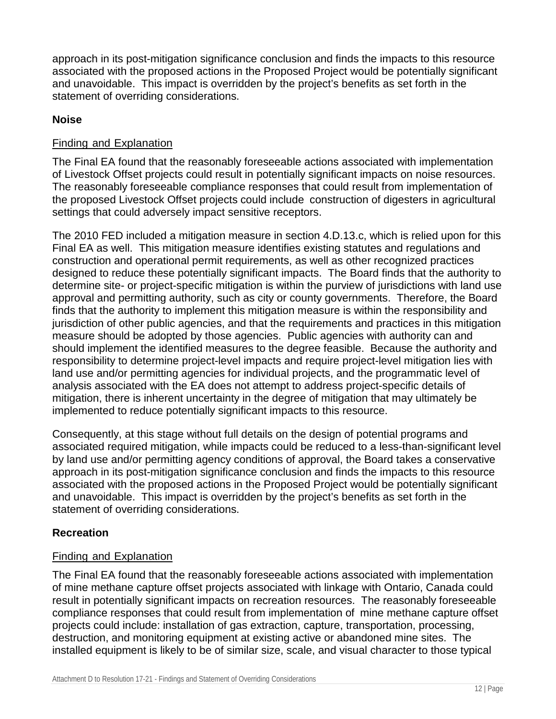approach in its post-mitigation significance conclusion and finds the impacts to this resource associated with the proposed actions in the Proposed Project would be potentially significant and unavoidable. This impact is overridden by the project's benefits as set forth in the statement of overriding considerations.

# **Noise**

# Finding and Explanation

The Final EA found that the reasonably foreseeable actions associated with implementation of Livestock Offset projects could result in potentially significant impacts on noise resources. The reasonably foreseeable compliance responses that could result from implementation of the proposed Livestock Offset projects could include construction of digesters in agricultural settings that could adversely impact sensitive receptors.

The 2010 FED included a mitigation measure in section 4.D.13.c, which is relied upon for this Final EA as well. This mitigation measure identifies existing statutes and regulations and construction and operational permit requirements, as well as other recognized practices designed to reduce these potentially significant impacts. The Board finds that the authority to determine site- or project-specific mitigation is within the purview of jurisdictions with land use approval and permitting authority, such as city or county governments. Therefore, the Board finds that the authority to implement this mitigation measure is within the responsibility and jurisdiction of other public agencies, and that the requirements and practices in this mitigation measure should be adopted by those agencies. Public agencies with authority can and should implement the identified measures to the degree feasible. Because the authority and responsibility to determine project-level impacts and require project-level mitigation lies with land use and/or permitting agencies for individual projects, and the programmatic level of analysis associated with the EA does not attempt to address project-specific details of mitigation, there is inherent uncertainty in the degree of mitigation that may ultimately be implemented to reduce potentially significant impacts to this resource.

Consequently, at this stage without full details on the design of potential programs and associated required mitigation, while impacts could be reduced to a less-than-significant level by land use and/or permitting agency conditions of approval, the Board takes a conservative approach in its post-mitigation significance conclusion and finds the impacts to this resource associated with the proposed actions in the Proposed Project would be potentially significant and unavoidable. This impact is overridden by the project's benefits as set forth in the statement of overriding considerations.

# **Recreation**

# Finding and Explanation

The Final EA found that the reasonably foreseeable actions associated with implementation of mine methane capture offset projects associated with linkage with Ontario, Canada could result in potentially significant impacts on recreation resources. The reasonably foreseeable compliance responses that could result from implementation of mine methane capture offset projects could include: installation of gas extraction, capture, transportation, processing, destruction, and monitoring equipment at existing active or abandoned mine sites. The installed equipment is likely to be of similar size, scale, and visual character to those typical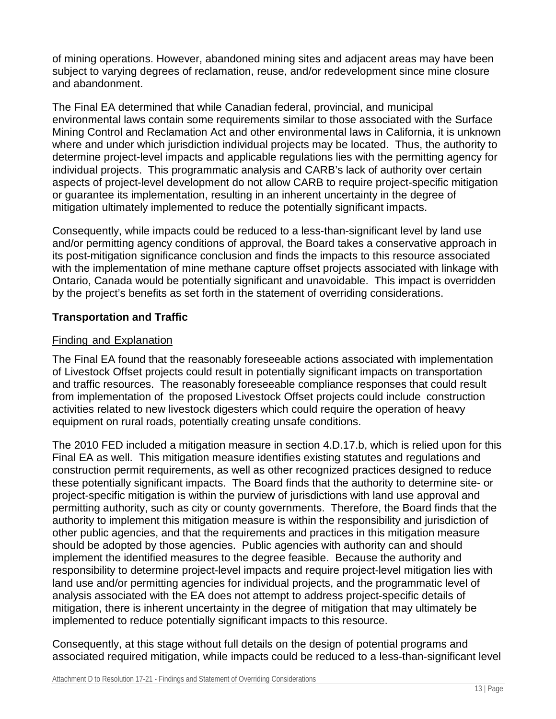of mining operations. However, abandoned mining sites and adjacent areas may have been subject to varying degrees of reclamation, reuse, and/or redevelopment since mine closure and abandonment.

The Final EA determined that while Canadian federal, provincial, and municipal environmental laws contain some requirements similar to those associated with the Surface Mining Control and Reclamation Act and other environmental laws in California, it is unknown where and under which jurisdiction individual projects may be located. Thus, the authority to determine project-level impacts and applicable regulations lies with the permitting agency for individual projects. This programmatic analysis and CARB's lack of authority over certain aspects of project-level development do not allow CARB to require project-specific mitigation or guarantee its implementation, resulting in an inherent uncertainty in the degree of mitigation ultimately implemented to reduce the potentially significant impacts.

Consequently, while impacts could be reduced to a less-than-significant level by land use and/or permitting agency conditions of approval, the Board takes a conservative approach in its post-mitigation significance conclusion and finds the impacts to this resource associated with the implementation of mine methane capture offset projects associated with linkage with Ontario, Canada would be potentially significant and unavoidable. This impact is overridden by the project's benefits as set forth in the statement of overriding considerations.

# **Transportation and Traffic**

# Finding and Explanation

The Final EA found that the reasonably foreseeable actions associated with implementation of Livestock Offset projects could result in potentially significant impacts on transportation and traffic resources. The reasonably foreseeable compliance responses that could result from implementation of the proposed Livestock Offset projects could include construction activities related to new livestock digesters which could require the operation of heavy equipment on rural roads, potentially creating unsafe conditions.

The 2010 FED included a mitigation measure in section 4.D.17.b, which is relied upon for this Final EA as well. This mitigation measure identifies existing statutes and regulations and construction permit requirements, as well as other recognized practices designed to reduce these potentially significant impacts. The Board finds that the authority to determine site- or project-specific mitigation is within the purview of jurisdictions with land use approval and permitting authority, such as city or county governments. Therefore, the Board finds that the authority to implement this mitigation measure is within the responsibility and jurisdiction of other public agencies, and that the requirements and practices in this mitigation measure should be adopted by those agencies. Public agencies with authority can and should implement the identified measures to the degree feasible. Because the authority and responsibility to determine project-level impacts and require project-level mitigation lies with land use and/or permitting agencies for individual projects, and the programmatic level of analysis associated with the EA does not attempt to address project-specific details of mitigation, there is inherent uncertainty in the degree of mitigation that may ultimately be implemented to reduce potentially significant impacts to this resource.

Consequently, at this stage without full details on the design of potential programs and associated required mitigation, while impacts could be reduced to a less-than-significant level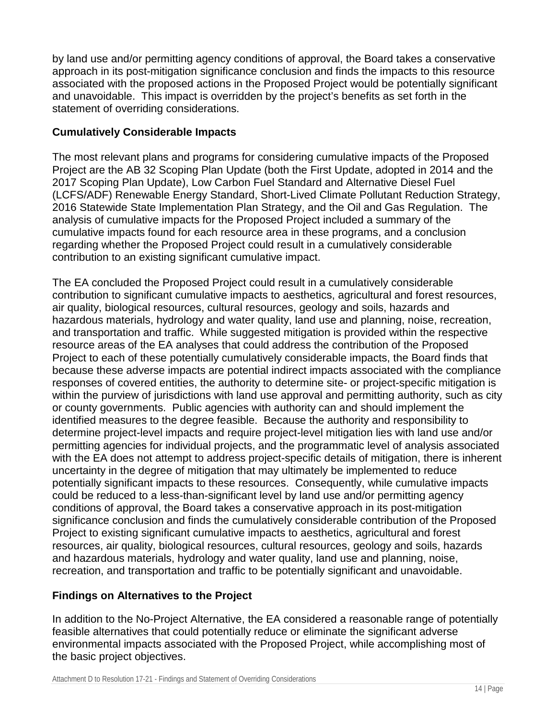by land use and/or permitting agency conditions of approval, the Board takes a conservative approach in its post-mitigation significance conclusion and finds the impacts to this resource associated with the proposed actions in the Proposed Project would be potentially significant and unavoidable. This impact is overridden by the project's benefits as set forth in the statement of overriding considerations.

# **Cumulatively Considerable Impacts**

The most relevant plans and programs for considering cumulative impacts of the Proposed Project are the AB 32 Scoping Plan Update (both the First Update, adopted in 2014 and the 2017 Scoping Plan Update), Low Carbon Fuel Standard and Alternative Diesel Fuel (LCFS/ADF) Renewable Energy Standard, Short-Lived Climate Pollutant Reduction Strategy, 2016 Statewide State Implementation Plan Strategy, and the Oil and Gas Regulation. The analysis of cumulative impacts for the Proposed Project included a summary of the cumulative impacts found for each resource area in these programs, and a conclusion regarding whether the Proposed Project could result in a cumulatively considerable contribution to an existing significant cumulative impact.

The EA concluded the Proposed Project could result in a cumulatively considerable contribution to significant cumulative impacts to aesthetics, agricultural and forest resources, air quality, biological resources, cultural resources, geology and soils, hazards and hazardous materials, hydrology and water quality, land use and planning, noise, recreation, and transportation and traffic. While suggested mitigation is provided within the respective resource areas of the EA analyses that could address the contribution of the Proposed Project to each of these potentially cumulatively considerable impacts, the Board finds that because these adverse impacts are potential indirect impacts associated with the compliance responses of covered entities, the authority to determine site- or project-specific mitigation is within the purview of jurisdictions with land use approval and permitting authority, such as city or county governments. Public agencies with authority can and should implement the identified measures to the degree feasible. Because the authority and responsibility to determine project-level impacts and require project-level mitigation lies with land use and/or permitting agencies for individual projects, and the programmatic level of analysis associated with the EA does not attempt to address project-specific details of mitigation, there is inherent uncertainty in the degree of mitigation that may ultimately be implemented to reduce potentially significant impacts to these resources. Consequently, while cumulative impacts could be reduced to a less-than-significant level by land use and/or permitting agency conditions of approval, the Board takes a conservative approach in its post-mitigation significance conclusion and finds the cumulatively considerable contribution of the Proposed Project to existing significant cumulative impacts to aesthetics, agricultural and forest resources, air quality, biological resources, cultural resources, geology and soils, hazards and hazardous materials, hydrology and water quality, land use and planning, noise, recreation, and transportation and traffic to be potentially significant and unavoidable.

# **Findings on Alternatives to the Project**

In addition to the No-Project Alternative, the EA considered a reasonable range of potentially feasible alternatives that could potentially reduce or eliminate the significant adverse environmental impacts associated with the Proposed Project, while accomplishing most of the basic project objectives.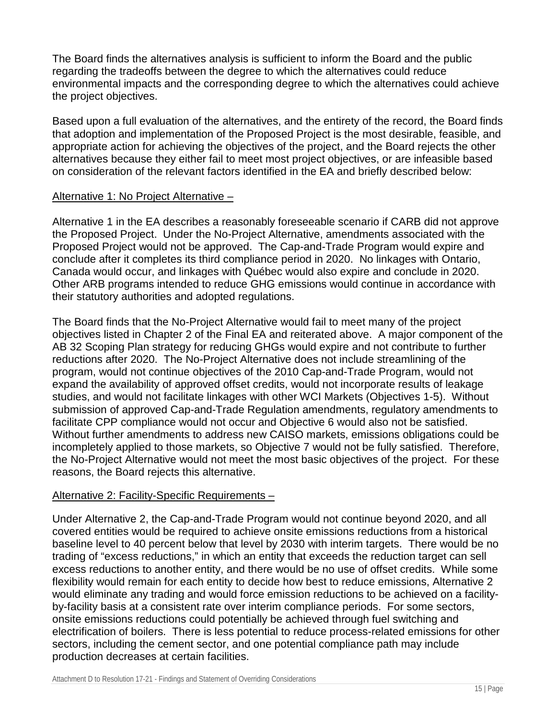The Board finds the alternatives analysis is sufficient to inform the Board and the public regarding the tradeoffs between the degree to which the alternatives could reduce environmental impacts and the corresponding degree to which the alternatives could achieve the project objectives.

Based upon a full evaluation of the alternatives, and the entirety of the record, the Board finds that adoption and implementation of the Proposed Project is the most desirable, feasible, and appropriate action for achieving the objectives of the project, and the Board rejects the other alternatives because they either fail to meet most project objectives, or are infeasible based on consideration of the relevant factors identified in the EA and briefly described below:

#### Alternative 1: No Project Alternative –

Alternative 1 in the EA describes a reasonably foreseeable scenario if CARB did not approve the Proposed Project. Under the No-Project Alternative, amendments associated with the Proposed Project would not be approved. The Cap-and-Trade Program would expire and conclude after it completes its third compliance period in 2020. No linkages with Ontario, Canada would occur, and linkages with Québec would also expire and conclude in 2020. Other ARB programs intended to reduce GHG emissions would continue in accordance with their statutory authorities and adopted regulations.

The Board finds that the No-Project Alternative would fail to meet many of the project objectives listed in Chapter 2 of the Final EA and reiterated above. A major component of the AB 32 Scoping Plan strategy for reducing GHGs would expire and not contribute to further reductions after 2020. The No-Project Alternative does not include streamlining of the program, would not continue objectives of the 2010 Cap-and-Trade Program, would not expand the availability of approved offset credits, would not incorporate results of leakage studies, and would not facilitate linkages with other WCI Markets (Objectives 1-5). Without submission of approved Cap-and-Trade Regulation amendments, regulatory amendments to facilitate CPP compliance would not occur and Objective 6 would also not be satisfied. Without further amendments to address new CAISO markets, emissions obligations could be incompletely applied to those markets, so Objective 7 would not be fully satisfied. Therefore, the No-Project Alternative would not meet the most basic objectives of the project. For these reasons, the Board rejects this alternative.

#### Alternative 2: Facility-Specific Requirements –

Under Alternative 2, the Cap-and-Trade Program would not continue beyond 2020, and all covered entities would be required to achieve onsite emissions reductions from a historical baseline level to 40 percent below that level by 2030 with interim targets. There would be no trading of "excess reductions," in which an entity that exceeds the reduction target can sell excess reductions to another entity, and there would be no use of offset credits. While some flexibility would remain for each entity to decide how best to reduce emissions, Alternative 2 would eliminate any trading and would force emission reductions to be achieved on a facilityby-facility basis at a consistent rate over interim compliance periods. For some sectors, onsite emissions reductions could potentially be achieved through fuel switching and electrification of boilers. There is less potential to reduce process-related emissions for other sectors, including the cement sector, and one potential compliance path may include production decreases at certain facilities.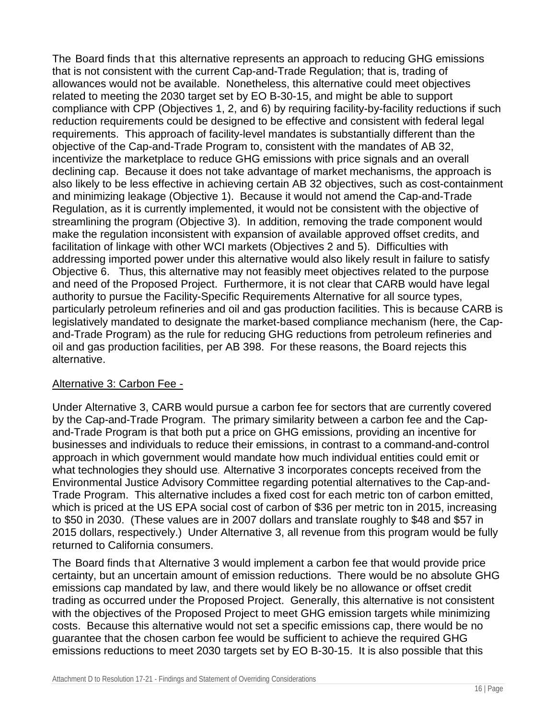The Board finds that this alternative represents an approach to reducing GHG emissions that is not consistent with the current Cap-and-Trade Regulation; that is, trading of allowances would not be available. Nonetheless, this alternative could meet objectives related to meeting the 2030 target set by EO B-30-15, and might be able to support compliance with CPP (Objectives 1, 2, and 6) by requiring facility-by-facility reductions if such reduction requirements could be designed to be effective and consistent with federal legal requirements. This approach of facility-level mandates is substantially different than the objective of the Cap-and-Trade Program to, consistent with the mandates of AB 32, incentivize the marketplace to reduce GHG emissions with price signals and an overall declining cap. Because it does not take advantage of market mechanisms, the approach is also likely to be less effective in achieving certain AB 32 objectives, such as cost-containment and minimizing leakage (Objective 1). Because it would not amend the Cap-and-Trade Regulation, as it is currently implemented, it would not be consistent with the objective of streamlining the program (Objective 3). In addition, removing the trade component would make the regulation inconsistent with expansion of available approved offset credits, and facilitation of linkage with other WCI markets (Objectives 2 and 5). Difficulties with addressing imported power under this alternative would also likely result in failure to satisfy Objective 6. Thus, this alternative may not feasibly meet objectives related to the purpose and need of the Proposed Project. Furthermore, it is not clear that CARB would have legal authority to pursue the Facility-Specific Requirements Alternative for all source types, particularly petroleum refineries and oil and gas production facilities. This is because CARB is legislatively mandated to designate the market-based compliance mechanism (here, the Capand-Trade Program) as the rule for reducing GHG reductions from petroleum refineries and oil and gas production facilities, per AB 398. For these reasons, the Board rejects this alternative.

#### Alternative 3: Carbon Fee -

Under Alternative 3, CARB would pursue a carbon fee for sectors that are currently covered by the Cap-and-Trade Program. The primary similarity between a carbon fee and the Capand-Trade Program is that both put a price on GHG emissions, providing an incentive for businesses and individuals to reduce their emissions, in contrast to a command-and-control approach in which government would mandate how much individual entities could emit or what technologies they should use. Alternative 3 incorporates concepts received from the Environmental Justice Advisory Committee regarding potential alternatives to the Cap-and-Trade Program. This alternative includes a fixed cost for each metric ton of carbon emitted, which is priced at the US EPA social cost of carbon of \$36 per metric ton in 2015, increasing to \$50 in 2030. (These values are in 2007 dollars and translate roughly to \$48 and \$57 in 2015 dollars, respectively.) Under Alternative 3, all revenue from this program would be fully returned to California consumers.

The Board finds that Alternative 3 would implement a carbon fee that would provide price certainty, but an uncertain amount of emission reductions. There would be no absolute GHG emissions cap mandated by law, and there would likely be no allowance or offset credit trading as occurred under the Proposed Project. Generally, this alternative is not consistent with the objectives of the Proposed Project to meet GHG emission targets while minimizing costs. Because this alternative would not set a specific emissions cap, there would be no guarantee that the chosen carbon fee would be sufficient to achieve the required GHG emissions reductions to meet 2030 targets set by EO B-30-15. It is also possible that this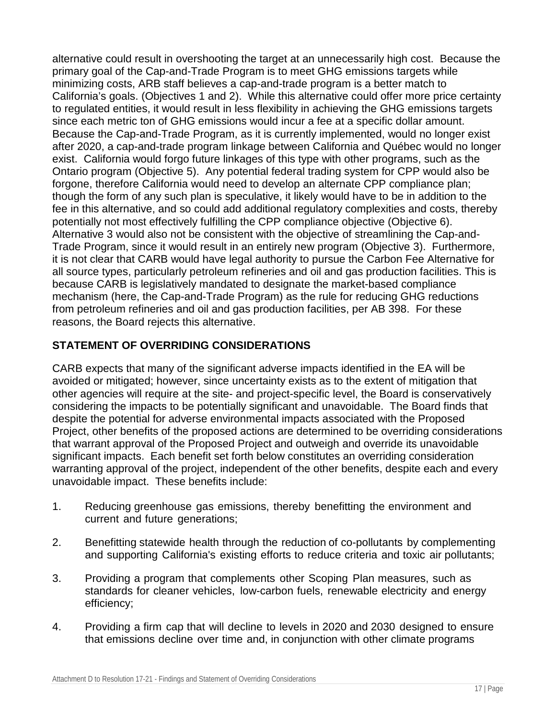alternative could result in overshooting the target at an unnecessarily high cost. Because the primary goal of the Cap-and-Trade Program is to meet GHG emissions targets while minimizing costs, ARB staff believes a cap-and-trade program is a better match to California's goals. (Objectives 1 and 2). While this alternative could offer more price certainty to regulated entities, it would result in less flexibility in achieving the GHG emissions targets since each metric ton of GHG emissions would incur a fee at a specific dollar amount. Because the Cap-and-Trade Program, as it is currently implemented, would no longer exist after 2020, a cap-and-trade program linkage between California and Québec would no longer exist. California would forgo future linkages of this type with other programs, such as the Ontario program (Objective 5). Any potential federal trading system for CPP would also be forgone, therefore California would need to develop an alternate CPP compliance plan; though the form of any such plan is speculative, it likely would have to be in addition to the fee in this alternative, and so could add additional regulatory complexities and costs, thereby potentially not most effectively fulfilling the CPP compliance objective (Objective 6). Alternative 3 would also not be consistent with the objective of streamlining the Cap-and-Trade Program, since it would result in an entirely new program (Objective 3). Furthermore, it is not clear that CARB would have legal authority to pursue the Carbon Fee Alternative for all source types, particularly petroleum refineries and oil and gas production facilities. This is because CARB is legislatively mandated to designate the market-based compliance mechanism (here, the Cap-and-Trade Program) as the rule for reducing GHG reductions from petroleum refineries and oil and gas production facilities, per AB 398. For these reasons, the Board rejects this alternative.

# **STATEMENT OF OVERRIDING CONSIDERATIONS**

CARB expects that many of the significant adverse impacts identified in the EA will be avoided or mitigated; however, since uncertainty exists as to the extent of mitigation that other agencies will require at the site- and project-specific level, the Board is conservatively considering the impacts to be potentially significant and unavoidable. The Board finds that despite the potential for adverse environmental impacts associated with the Proposed Project, other benefits of the proposed actions are determined to be overriding considerations that warrant approval of the Proposed Project and outweigh and override its unavoidable significant impacts. Each benefit set forth below constitutes an overriding consideration warranting approval of the project, independent of the other benefits, despite each and every unavoidable impact. These benefits include:

- 1. Reducing greenhouse gas emissions, thereby benefitting the environment and current and future generations;
- 2. Benefitting statewide health through the reduction of co-pollutants by complementing and supporting California's existing efforts to reduce criteria and toxic air pollutants;
- 3. Providing a program that complements other Scoping Plan measures, such as standards for cleaner vehicles, low-carbon fuels, renewable electricity and energy efficiency;
- 4. Providing a firm cap that will decline to levels in 2020 and 2030 designed to ensure that emissions decline over time and, in conjunction with other climate programs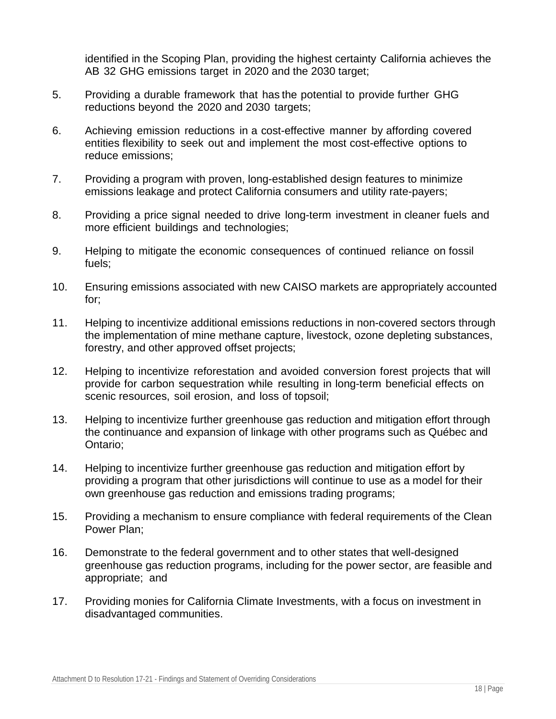identified in the Scoping Plan, providing the highest certainty California achieves the AB 32 GHG emissions target in 2020 and the 2030 target;

- 5. Providing a durable framework that has the potential to provide further GHG reductions beyond the 2020 and 2030 targets;
- 6. Achieving emission reductions in a cost-effective manner by affording covered entities flexibility to seek out and implement the most cost-effective options to reduce emissions;
- 7. Providing a program with proven, long-established design features to minimize emissions leakage and protect California consumers and utility rate-payers;
- 8. Providing a price signal needed to drive long-term investment in cleaner fuels and more efficient buildings and technologies;
- 9. Helping to mitigate the economic consequences of continued reliance on fossil fuels;
- 10. Ensuring emissions associated with new CAISO markets are appropriately accounted for;
- 11. Helping to incentivize additional emissions reductions in non-covered sectors through the implementation of mine methane capture, livestock, ozone depleting substances, forestry, and other approved offset projects;
- 12. Helping to incentivize reforestation and avoided conversion forest projects that will provide for carbon sequestration while resulting in long-term beneficial effects on scenic resources, soil erosion, and loss of topsoil;
- 13. Helping to incentivize further greenhouse gas reduction and mitigation effort through the continuance and expansion of linkage with other programs such as Québec and Ontario;
- 14. Helping to incentivize further greenhouse gas reduction and mitigation effort by providing a program that other jurisdictions will continue to use as a model for their own greenhouse gas reduction and emissions trading programs;
- 15. Providing a mechanism to ensure compliance with federal requirements of the Clean Power Plan;
- 16. Demonstrate to the federal government and to other states that well-designed greenhouse gas reduction programs, including for the power sector, are feasible and appropriate; and
- 17. Providing monies for California Climate Investments, with a focus on investment in disadvantaged communities.